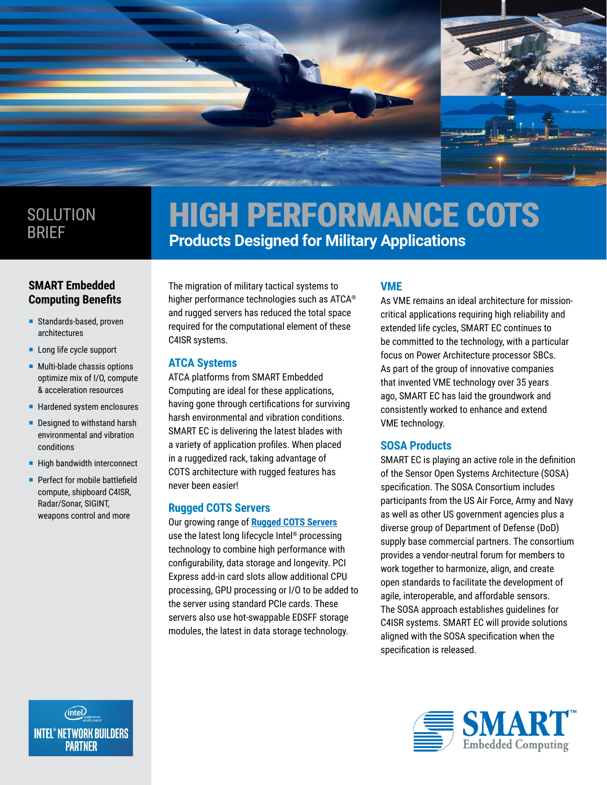

# **SOLUTION** BRIEF

# HIGH PERFORMANCE COTS **Products Designed for Military Applications**

# **SMART Embedded Computing Benefits**

- Standards-based, proven architectures
- **Long life cycle support**
- **Multi-blade chassis options** optimize mix of I/O, compute & acceleration resources
- **Hardened system enclosures**
- Designed to withstand harsh environmental and vibration conditions
- $\blacksquare$  High bandwidth interconnect
- **Perfect for mobile battlefield** compute, shipboard C4ISR, Radar/Sonar, SIGINT, weapons control and more

The migration of military tactical systems to higher performance technologies such as ATCA® and rugged servers has reduced the total space required for the computational element of these C4ISR systems.

# **ATCA Systems**

ATCA platforms from SMART Embedded Computing are ideal for these applications, having gone through certifications for surviving harsh environmental and vibration conditions. SMART EC is delivering the latest blades with a variety of application profiles. When placed in a ruggedized rack, taking advantage of COTS architecture with rugged features has never been easier!

# **Rugged COTS Servers**

Our growing range of **[Rugged COTS Servers](http://www.smartembedded.com/ec/products/product/RG1000-1U-rugged-cots-server)** use the latest long lifecycle Intel® processing technology to combine high performance with configurability, data storage and longevity. PCI Express add-in card slots allow additional CPU processing, GPU processing or I/O to be added to the server using standard PCIe cards. These servers also use hot-swappable EDSFF storage modules, the latest in data storage technology.

# **VME**

As VME remains an ideal architecture for missioncritical applications requiring high reliability and extended life cycles, SMART EC continues to be committed to the technology, with a particular focus on Power Architecture processor SBCs. As part of the group of innovative companies that invented VME technology over 35 years ago, SMART EC has laid the groundwork and consistently worked to enhance and extend VME technology.

# **SOSA Products**

SMART EC is playing an active role in the definition of the Sensor Open Systems Architecture (SOSA) specification. The SOSA Consortium includes participants from the US Air Force, Army and Navy as well as other US government agencies plus a diverse group of Department of Defense (DoD) supply base commercial partners. The consortium provides a vendor-neutral forum for members to work together to harmonize, align, and create open standards to facilitate the development of agile, interoperable, and affordable sensors. The SOSA approach establishes guidelines for C4ISR systems. SMART EC will provide solutions aligned with the SOSA specification when the specification is released.